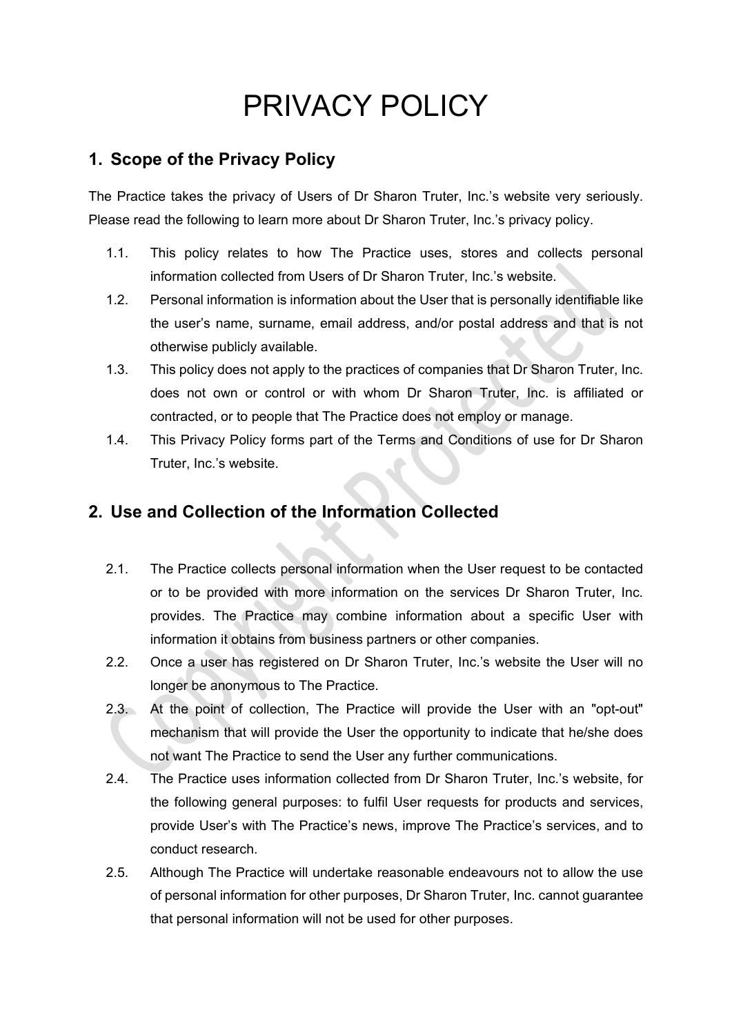# PRIVACY POLICY

#### **1. Scope of the Privacy Policy**

The Practice takes the privacy of Users of Dr Sharon Truter, Inc.'s website very seriously. Please read the following to learn more about Dr Sharon Truter, Inc.'s privacy policy.

- 1.1. This policy relates to how The Practice uses, stores and collects personal information collected from Users of Dr Sharon Truter, Inc.'s website.
- 1.2. Personal information is information about the User that is personally identifiable like the user's name, surname, email address, and/or postal address and that is not otherwise publicly available.
- 1.3. This policy does not apply to the practices of companies that Dr Sharon Truter, Inc. does not own or control or with whom Dr Sharon Truter, Inc. is affiliated or contracted, or to people that The Practice does not employ or manage.
- 1.4. This Privacy Policy forms part of the Terms and Conditions of use for Dr Sharon Truter, Inc.'s website.

### **2. Use and Collection of the Information Collected**

- 2.1. The Practice collects personal information when the User request to be contacted or to be provided with more information on the services Dr Sharon Truter, Inc. provides. The Practice may combine information about a specific User with information it obtains from business partners or other companies.
- 2.2. Once a user has registered on Dr Sharon Truter, Inc.'s website the User will no longer be anonymous to The Practice.
- 2.3. At the point of collection, The Practice will provide the User with an "opt-out" mechanism that will provide the User the opportunity to indicate that he/she does not want The Practice to send the User any further communications.
- 2.4. The Practice uses information collected from Dr Sharon Truter, Inc.'s website, for the following general purposes: to fulfil User requests for products and services, provide User's with The Practice's news, improve The Practice's services, and to conduct research.
- 2.5. Although The Practice will undertake reasonable endeavours not to allow the use of personal information for other purposes, Dr Sharon Truter, Inc. cannot guarantee that personal information will not be used for other purposes.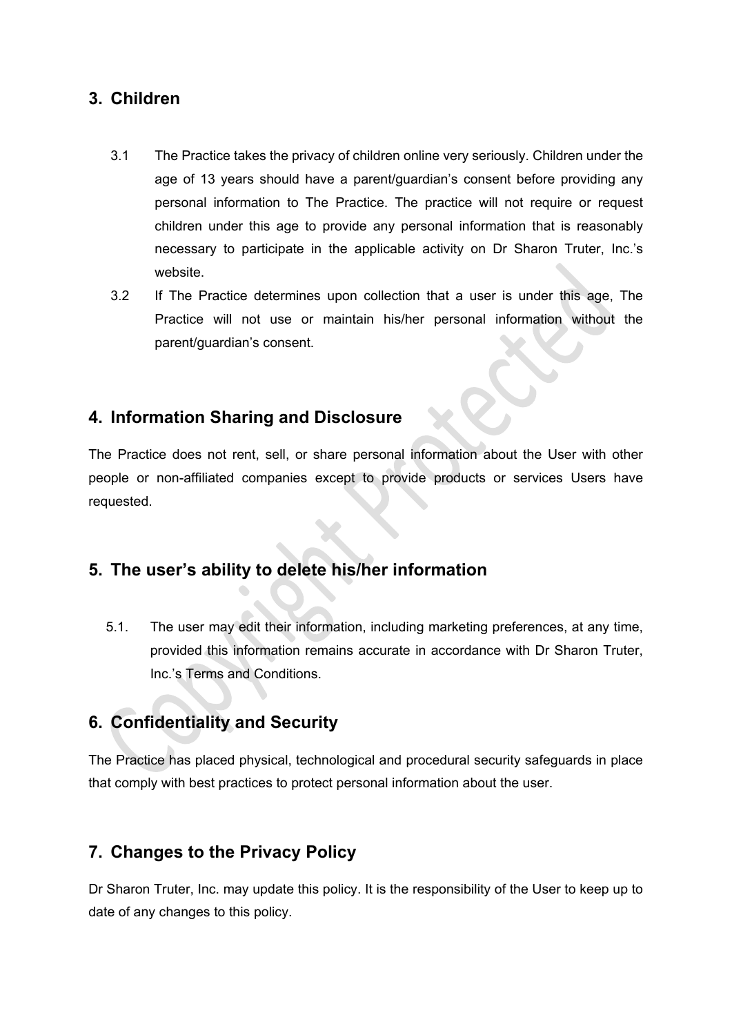#### **3. Children**

- 3.1 The Practice takes the privacy of children online very seriously. Children under the age of 13 years should have a parent/guardian's consent before providing any personal information to The Practice. The practice will not require or request children under this age to provide any personal information that is reasonably necessary to participate in the applicable activity on Dr Sharon Truter, Inc.'s website.
- 3.2 If The Practice determines upon collection that a user is under this age, The Practice will not use or maintain his/her personal information without the parent/guardian's consent.

#### **4. Information Sharing and Disclosure**

The Practice does not rent, sell, or share personal information about the User with other people or non-affiliated companies except to provide products or services Users have requested.

#### **5. The user's ability to delete his/her information**

5.1. The user may edit their information, including marketing preferences, at any time, provided this information remains accurate in accordance with Dr Sharon Truter, Inc.'s Terms and Conditions.

## **6. Confidentiality and Security**

The Practice has placed physical, technological and procedural security safeguards in place that comply with best practices to protect personal information about the user.

#### **7. Changes to the Privacy Policy**

Dr Sharon Truter, Inc. may update this policy. It is the responsibility of the User to keep up to date of any changes to this policy.